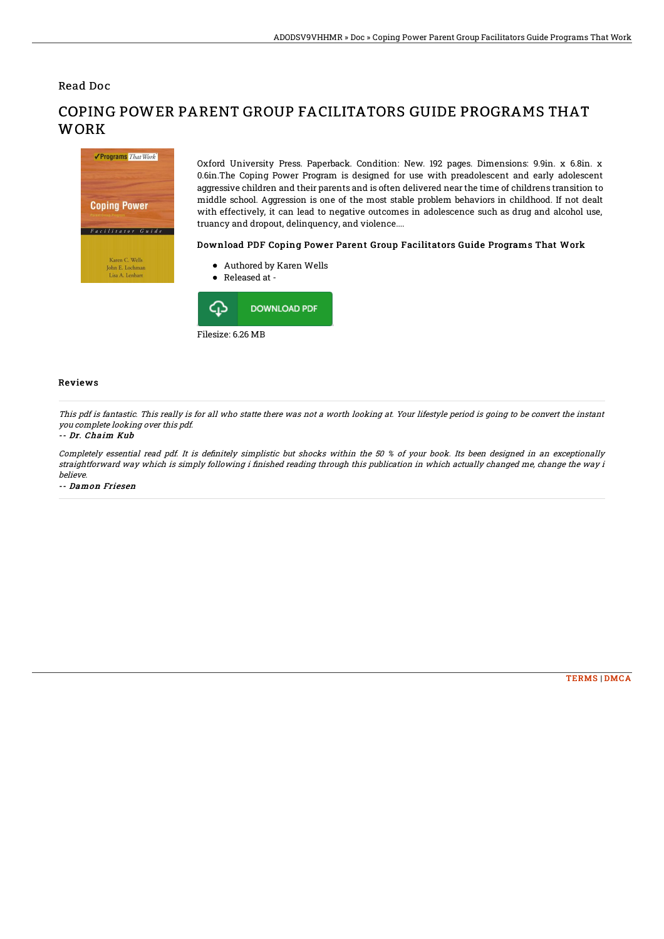Read Doc



# COPING POWER PARENT GROUP FACILITATORS GUIDE PROGRAMS THAT **WORK**

Oxford University Press. Paperback. Condition: New. 192 pages. Dimensions: 9.9in. x 6.8in. x 0.6in.The Coping Power Program is designed for use with preadolescent and early adolescent aggressive children and their parents and is often delivered near the time of childrens transition to middle school. Aggression is one of the most stable problem behaviors in childhood. If not dealt with effectively, it can lead to negative outcomes in adolescence such as drug and alcohol use, truancy and dropout, delinquency, and violence....

### Download PDF Coping Power Parent Group Facilitators Guide Programs That Work

- Authored by Karen Wells
- Released at -



#### Reviews

This pdf is fantastic. This really is for all who statte there was not <sup>a</sup> worth looking at. Your lifestyle period is going to be convert the instant you complete looking over this pdf.

#### -- Dr. Chaim Kub

Completely essential read pdf. It is definitely simplistic but shocks within the 50 % of your book. Its been designed in an exceptionally straightforward way which is simply following i finished reading through this publication in which actually changed me, change the way i believe.

-- Damon Friesen